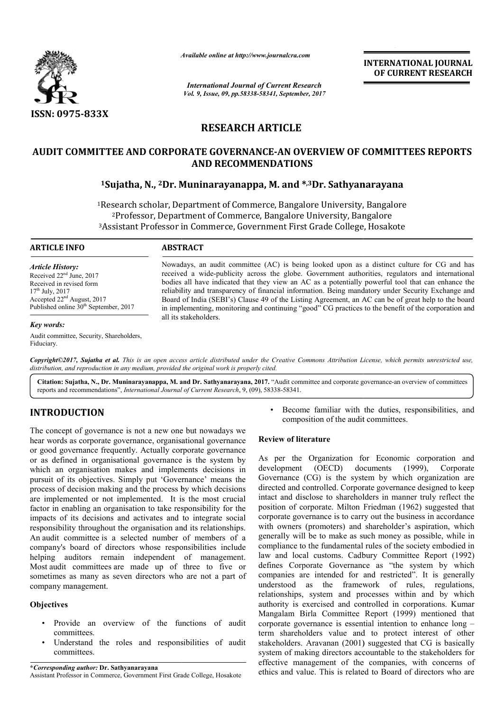

*Available online at http://www.journalcra.com*

*International Journal of Current Research Vol. 9, Issue, 09, pp.58338-58341, September, 2017* **INTERNATIONAL JOURNAL OF CURRENT RESEARCH**

# **RESEARCH ARTICLE**

# **AUDIT COMMITTEE AND CORPORATE GOVERNANCE GOVERNANCE-AN OVERVIEW OF COMMITTEES REPORTS AN OF COMMITTEES AND RECOMMENDATIONS**

# **1Sujatha, N., 2Dr. Muninarayanappa, M. and \*,3Dr. Sathyanarayana**

<sup>1</sup>Research scholar, Department of Commerce, Bangalore University, Bangalore search scholar, Department of Commerce, Bangalore University, Banga<br><sup>2</sup>Professor, Department of Commerce, Bangalore University, Bangalore <sup>3</sup>Assistant Professor in Commerce, Government First Grade College, Hosakote

#### **ARTICLE INFO ABSTRACT**

*Article History:* Received 22<sup>nd</sup> June, 2017 Received in revised form 17th July, 2017 Accepted 22nd August, 2017 Published online  $30<sup>th</sup>$  September, 2017

#### *Key words:*

Audit committee, Security, Shareholders, Fiduciary.

Nowadays, an audit committee (AC) is being looked upon as a distinct culture for CG and has received a wide-publicity across the globe. Government authorities, regulators and international bodies all have indicated that they view an AC as a potentially powerful tool that can enhance the reliability and transparency of financial information. Being mandatory under Security Exchange and Board of India (SEBI's) Clause 49 of the Listing Agreement, an AC can be of great help to the board in implementing, monitoring and continuing "good" CG practices to the benefit of the corporation and all its stakeholders. has publicity across the globe. Government authorities, regulators and international bodies all have indicated that they view an AC as a potentially powerful tool that can enhance the reliability and transparency of financ

Copyright©2017, Sujatha et al. This is an open access article distributed under the Creative Commons Attribution License, which permits unrestricted use, *distribution, and reproduction in any medium, provided the original work is properly cited.*

Citation: Sujatha, N., Dr. Muninarayanappa, M. and Dr. Sathyanarayana, 2017. "Audit committee and corporate governance-an overview of committees reports and recommendations", *International Journal of Current Research*, 9, (09), 58338-58341.

# **INTRODUCTION**

The concept of governance is not a new one but nowadays we hear words as corporate governance, organisational governance or good governance frequently. Actually corporate governance or as defined in organisational governance is the system by which an organisation makes and implements decisions in pursuit of its objectives. Simply put 'Governance' means the process of decision making and the process by which decisions are implemented or not implemented. It is the most crucial factor in enabling an organisation to take responsibility for the impacts of its decisions and activates and to integrate social responsibility throughout the organisation and its relationships An audit committee is a selected number of members of a company's board of directors whose responsibilities include helping auditors remain independent of management. Most audit committees are made up of three to five or sometimes as many as seven directors who are not a part of company management. ocess by which decisions<br>1. It is the most crucial<br>ake responsibility for the<br>5 and to integrate social<br>tion and its relationships.

# **Objectives**

- Provide an overview of the functions of audit committees.
- Understand the roles and responsibilities of audit committees.

**\****Corresponding author:* **Dr. Sathyanarayana** Assistant Professor in Commerce, Government First Grade College, Hosakote composition of the audit committees.

### **Review of literature**

**ECTION**<br>
Secome familiar with the duties, responsibilities, and<br>
of governance is not a new one but nowadays we<br>
scorporate governance, organisational governance<br>
ernance frequently. Actually corporate governance<br>
ernance As per the Organization for Economic corporation and development (OECD) documents (1999), Corporate Governance (CG) is the system by which organization are directed and controlled. Corporate governance designed to keep intact and disclose to shareholders in manner truly reflect the position of corporate. Milton Friedman (1962) suggested that corporate governance is to carry out the business in accordance with owners (promoters) and shareholder's aspiration, which generally will be to make as such money as possible, while in compliance to the fundamental rules of the society embodied in law and local customs. Cadbury Committee Report (1992) defines Corporate Governance as "the system by which companies are intended for and restricted". It is generally understood as the framework of rules, regulations, relationships, system and processes within and by which authority is exercised and controlled in corporations. Mangalam Birla Committee Report (1999) mentioned that corporate governance is essential intention to enhance long term shareholders value and to p protect interest of other stakeholders. Aravanan (2001) suggested that CG is basically system of making directors accountable to the stakeholders for effective management of the companies, with concerns of ethics and value. This is related to Board of direc • Become familiar with the duties, responsibilities, and<br>
composition of the audit committees.<br>
Review of literature<br>
As per the Organization for Economic corporation and<br>
development (OECD) documents (1999), Corporate<br>
Go es are intended for and restricted". It is generally<br>od as the framework of rules, regulations,<br>hips, system and processes within and by which<br>is exercised and controlled in corporations. Kumar ers. Aravanan (2001) suggested that CG is basically making directors accountable to the stakeholders for management of the companies, with concerns of value. This is related to Board of directors who are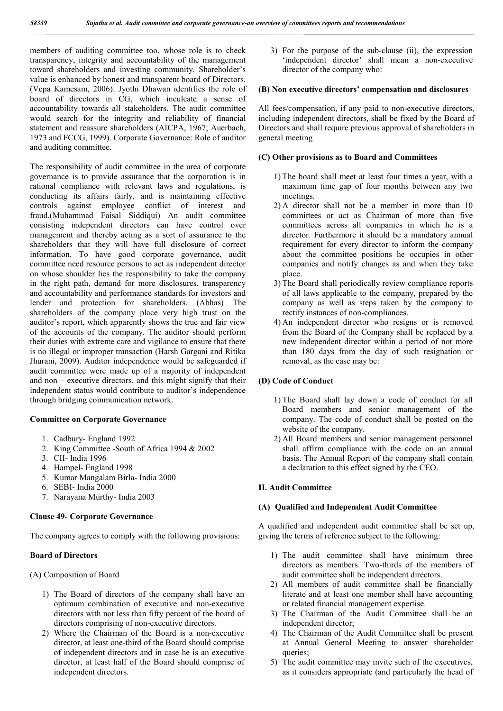members of auditing committee too, whose role is to check transparency, integrity and accountability of the management toward shareholders and investing community. Shareholder's value is enhanced by honest and transparent board of Directors. (Vepa Kamesam, 2006). Jyothi Dhawan identifies the role of board of directors in CG, which inculcate a sense of accountability towards all stakeholders. The audit committee would search for the integrity and reliability of financial statement and reassure shareholders (AICPA, 1967; Auerbach, 1973 and FCCG, 1999). Corporate Governance: Role of auditor and auditing committee.

The responsibility of audit committee in the area of corporate governance is to provide assurance that the corporation is in rational compliance with relevant laws and regulations, is conducting its affairs fairly, and is maintaining effective controls against employee conflict of interest and fraud.(Muhammad Faisal Siddiqui) An audit committee consisting independent directors can have control over management and thereby acting as a sort of assurance to the shareholders that they will have full disclosure of correct information. To have good corporate governance, audit committee need resource persons to act as independent director on whose shoulder lies the responsibility to take the company in the right path, demand for more disclosures, transparency and accountability and performance standards for investors and lender and protection for shareholders. (Abhas) The shareholders of the company place very high trust on the auditor's report, which apparently shows the true and fair view of the accounts of the company. The auditor should perform their duties with extreme care and vigilance to ensure that there is no illegal or improper transaction (Harsh Gargani and Ritika Jhurani, 2009). Auditor independence would be safeguarded if audit committee were made up of a majority of independent and non – executive directors, and this might signify that their independent status would contribute to auditor's independence through bridging communication network.

# **Committee on Corporate Governance**

- 1. Cadbury- England 1992
- 2. King Committee -South of Africa 1994 & 2002
- 3. CII- India 1996
- 4. Hampel- England 1998
- 5. Kumar Mangalam Birla- India 2000
- 6. SEBI- India 2000
- 7. Narayana Murthy- India 2003

### **Clause 49- Corporate Governance**

The company agrees to comply with the following provisions:

### **Board of Directors**

(A) Composition of Board

- 1) The Board of directors of the company shall have an optimum combination of executive and non-executive directors with not less than fifty percent of the board of directors comprising of non-executive directors.
- 2) Where the Chairman of the Board is a non-executive director, at least one-third of the Board should comprise of independent directors and in case he is an executive director, at least half of the Board should comprise of independent directors.

3) For the purpose of the sub-clause (ii), the expression 'independent director' shall mean a non-executive director of the company who:

#### **(B) Non executive directors' compensation and disclosures**

All fees/compensation, if any paid to non-executive directors, including independent directors, shall be fixed by the Board of Directors and shall require previous approval of shareholders in general meeting

### **(C) Other provisions as to Board and Committees**

- 1) The board shall meet at least four times a year, with a maximum time gap of four months between any two meetings.
- 2) A director shall not be a member in more than 10 committees or act as Chairman of more than five committees across all companies in which he is a director. Furthermore it should be a mandatory annual requirement for every director to inform the company about the committee positions he occupies in other companies and notify changes as and when they take place.
- 3) The Board shall periodically review compliance reports of all laws applicable to the company, prepared by the company as well as steps taken by the company to rectify instances of non-compliances.
- 4) An independent director who resigns or is removed from the Board of the Company shall be replaced by a new independent director within a period of not more than 180 days from the day of such resignation or removal, as the case may be:

## **(D) Code of Conduct**

- 1) The Board shall lay down a code of conduct for all Board members and senior management of the company. The code of conduct shall be posted on the website of the company.
- 2) All Board members and senior management personnel shall affirm compliance with the code on an annual basis. The Annual Report of the company shall contain a declaration to this effect signed by the CEO.

### **II. Audit Committee**

### **(A) Qualified and Independent Audit Committee**

A qualified and independent audit committee shall be set up, giving the terms of reference subject to the following:

- 1) The audit committee shall have minimum three directors as members. Two-thirds of the members of audit committee shall be independent directors.
- 2) All members of audit committee shall be financially literate and at least one member shall have accounting or related financial management expertise.
- 3) The Chairman of the Audit Committee shall be an independent director;
- 4) The Chairman of the Audit Committee shall be present at Annual General Meeting to answer shareholder queries;
- 5) The audit committee may invite such of the executives, as it considers appropriate (and particularly the head of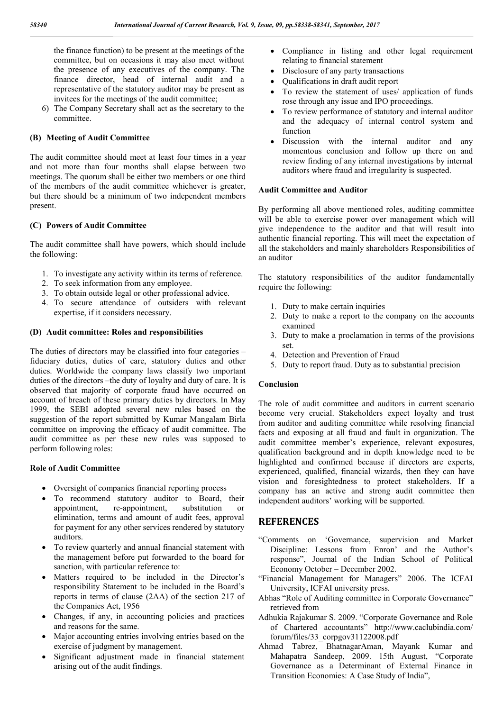the finance function) to be present at the meetings of the committee, but on occasions it may also meet without the presence of any executives of the company. The finance director, head of internal audit and a representative of the statutory auditor may be present as invitees for the meetings of the audit committee;

6) The Company Secretary shall act as the secretary to the committee.

# **(B) Meeting of Audit Committee**

The audit committee should meet at least four times in a year and not more than four months shall elapse between two meetings. The quorum shall be either two members or one third of the members of the audit committee whichever is greater, but there should be a minimum of two independent members present.

## **(C) Powers of Audit Committee**

The audit committee shall have powers, which should include the following:

- 1. To investigate any activity within its terms of reference.
- 2. To seek information from any employee.
- 3. To obtain outside legal or other professional advice.
- 4. To secure attendance of outsiders with relevant expertise, if it considers necessary.

## **(D) Audit committee: Roles and responsibilities**

The duties of directors may be classified into four categories – fiduciary duties, duties of care, statutory duties and other duties. Worldwide the company laws classify two important duties of the directors –the duty of loyalty and duty of care. It is observed that majority of corporate fraud have occurred on account of breach of these primary duties by directors. In May 1999, the SEBI adopted several new rules based on the suggestion of the report submitted by Kumar Mangalam Birla committee on improving the efficacy of audit committee. The audit committee as per these new rules was supposed to perform following roles:

## **Role of Audit Committee**

- Oversight of companies financial reporting process
- To recommend statutory auditor to Board, their appointment, re-appointment, substitution or elimination, terms and amount of audit fees, approval for payment for any other services rendered by statutory auditors.
- To review quarterly and annual financial statement with the management before put forwarded to the board for sanction, with particular reference to:
- Matters required to be included in the Director's responsibility Statement to be included in the Board's reports in terms of clause (2AA) of the section 217 of the Companies Act, 1956
- Changes, if any, in accounting policies and practices and reasons for the same.
- Major accounting entries involving entries based on the exercise of judgment by management.
- Significant adjustment made in financial statement arising out of the audit findings.
- Compliance in listing and other legal requirement relating to financial statement
- Disclosure of any party transactions
- Qualifications in draft audit report
- To review the statement of uses/ application of funds rose through any issue and IPO proceedings.
- To review performance of statutory and internal auditor and the adequacy of internal control system and function
- Discussion with the internal auditor and any momentous conclusion and follow up there on and review finding of any internal investigations by internal auditors where fraud and irregularity is suspected.

## **Audit Committee and Auditor**

By performing all above mentioned roles, auditing committee will be able to exercise power over management which will give independence to the auditor and that will result into authentic financial reporting. This will meet the expectation of all the stakeholders and mainly shareholders Responsibilities of an auditor

The statutory responsibilities of the auditor fundamentally require the following:

- 1. Duty to make certain inquiries
- 2. Duty to make a report to the company on the accounts examined
- 3. Duty to make a proclamation in terms of the provisions set.
- 4. Detection and Prevention of Fraud
- 5. Duty to report fraud. Duty as to substantial precision

## **Conclusion**

The role of audit committee and auditors in current scenario become very crucial. Stakeholders expect loyalty and trust from auditor and auditing committee while resolving financial facts and exposing at all fraud and fault in organization. The audit committee member's experience, relevant exposures, qualification background and in depth knowledge need to be highlighted and confirmed because if directors are experts, experienced, qualified, financial wizards, then they can have vision and foresightedness to protect stakeholders. If a company has an active and strong audit committee then independent auditors' working will be supported.

# **REFERENCES**

- "Comments on 'Governance, supervision and Market Discipline: Lessons from Enron' and the Author's response", Journal of the Indian School of Political Economy October – December 2002.
- "Financial Management for Managers" 2006. The ICFAI University, ICFAI university press.
- Abhas "Role of Auditing committee in Corporate Governance" retrieved from
- Adhukia Rajakumar S. 2009. "Corporate Governance and Role of Chartered accountants" http://www.caclubindia.com/ forum/files/33\_corpgov31122008.pdf
- Ahmad Tabrez, BhatnagarAman, Mayank Kumar and Mahapatra Sandeep, 2009. 15th August, "Corporate Governance as a Determinant of External Finance in Transition Economies: A Case Study of India",